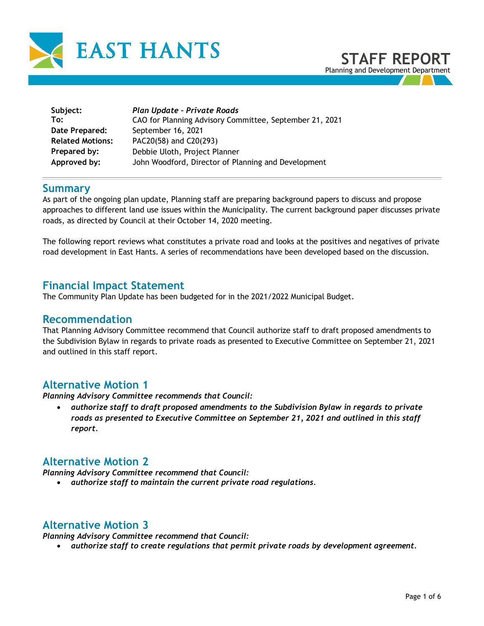

| Subject:<br>To:         | Plan Update - Private Roads<br>CAO for Planning Advisory Committee, September 21, 2021 |
|-------------------------|----------------------------------------------------------------------------------------|
| Date Prepared:          | September 16, 2021                                                                     |
| <b>Related Motions:</b> | PAC20(58) and C20(293)                                                                 |
| Prepared by:            | Debbie Uloth, Project Planner                                                          |
| Approved by:            | John Woodford, Director of Planning and Development                                    |

## **Summary**

As part of the ongoing plan update, Planning staff are preparing background papers to discuss and propose approaches to different land use issues within the Municipality. The current background paper discusses private roads, as directed by Council at their October 14, 2020 meeting.

The following report reviews what constitutes a private road and looks at the positives and negatives of private road development in East Hants. A series of recommendations have been developed based on the discussion.

### **Financial Impact Statement**

The Community Plan Update has been budgeted for in the 2021/2022 Municipal Budget.

### **Recommendation**

That Planning Advisory Committee recommend that Council authorize staff to draft proposed amendments to the Subdivision Bylaw in regards to private roads as presented to Executive Committee on September 21, 2021 and outlined in this staff report.

# **Alternative Motion 1**

*Planning Advisory Committee recommends that Council:* 

• *authorize staff to draft proposed amendments to the Subdivision Bylaw in regards to private roads as presented to Executive Committee on September 21, 2021 and outlined in this staff report.* 

# **Alternative Motion 2**

*Planning Advisory Committee recommend that Council:*

• *authorize staff to maintain the current private road regulations.* 

# **Alternative Motion 3**

*Planning Advisory Committee recommend that Council:*

• *authorize staff to create regulations that permit private roads by development agreement.*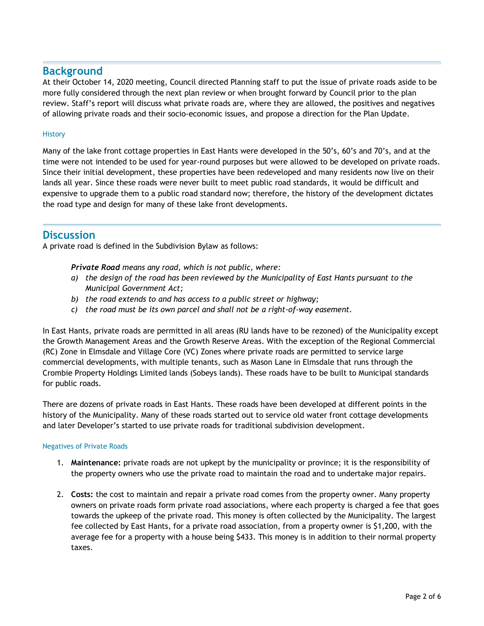# **Background**

At their October 14, 2020 meeting, Council directed Planning staff to put the issue of private roads aside to be more fully considered through the next plan review or when brought forward by Council prior to the plan review. Staff's report will discuss what private roads are, where they are allowed, the positives and negatives of allowing private roads and their socio-economic issues, and propose a direction for the Plan Update.

### **History**

Many of the lake front cottage properties in East Hants were developed in the 50's, 60's and 70's, and at the time were not intended to be used for year-round purposes but were allowed to be developed on private roads. Since their initial development, these properties have been redeveloped and many residents now live on their lands all year. Since these roads were never built to meet public road standards, it would be difficult and expensive to upgrade them to a public road standard now; therefore, the history of the development dictates the road type and design for many of these lake front developments.

### **Discussion**

A private road is defined in the Subdivision Bylaw as follows:

*Private Road means any road, which is not public, where:* 

- *a) the design of the road has been reviewed by the Municipality of East Hants pursuant to the Municipal Government Act;*
- *b) the road extends to and has access to a public street or highway;*
- *c) the road must be its own parcel and shall not be a right-of-way easement.*

In East Hants, private roads are permitted in all areas (RU lands have to be rezoned) of the Municipality except the Growth Management Areas and the Growth Reserve Areas. With the exception of the Regional Commercial (RC) Zone in Elmsdale and Village Core (VC) Zones where private roads are permitted to service large commercial developments, with multiple tenants, such as Mason Lane in Elmsdale that runs through the Crombie Property Holdings Limited lands (Sobeys lands). These roads have to be built to Municipal standards for public roads.

There are dozens of private roads in East Hants. These roads have been developed at different points in the history of the Municipality. Many of these roads started out to service old water front cottage developments and later Developer's started to use private roads for traditional subdivision development.

#### Negatives of Private Roads

- 1. **Maintenance:** private roads are not upkept by the municipality or province; it is the responsibility of the property owners who use the private road to maintain the road and to undertake major repairs.
- 2. **Costs:** the cost to maintain and repair a private road comes from the property owner. Many property owners on private roads form private road associations, where each property is charged a fee that goes towards the upkeep of the private road. This money is often collected by the Municipality. The largest fee collected by East Hants, for a private road association, from a property owner is \$1,200, with the average fee for a property with a house being \$433. This money is in addition to their normal property taxes.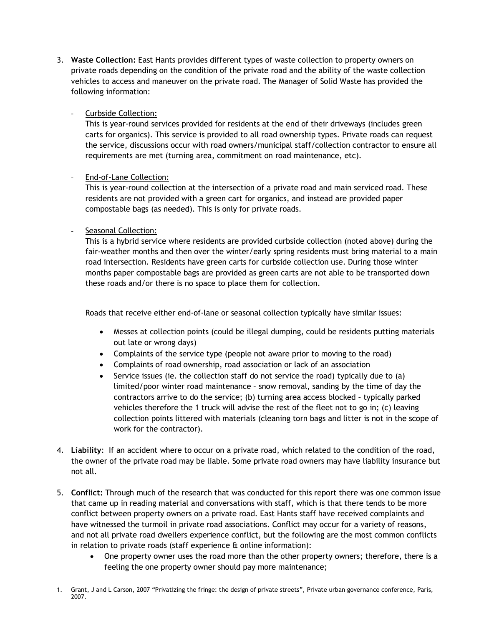3. **Waste Collection:** East Hants provides different types of waste collection to property owners on private roads depending on the condition of the private road and the ability of the waste collection vehicles to access and maneuver on the private road. The Manager of Solid Waste has provided the following information:

### Curbside Collection:

This is year-round services provided for residents at the end of their driveways (includes green carts for organics). This service is provided to all road ownership types. Private roads can request the service, discussions occur with road owners/municipal staff/collection contractor to ensure all requirements are met (turning area, commitment on road maintenance, etc).

### End-of-Lane Collection:

This is year-round collection at the intersection of a private road and main serviced road. These residents are not provided with a green cart for organics, and instead are provided paper compostable bags (as needed). This is only for private roads.

### Seasonal Collection:

This is a hybrid service where residents are provided curbside collection (noted above) during the fair-weather months and then over the winter/early spring residents must bring material to a main road intersection. Residents have green carts for curbside collection use. During those winter months paper compostable bags are provided as green carts are not able to be transported down these roads and/or there is no space to place them for collection.

Roads that receive either end-of-lane or seasonal collection typically have similar issues:

- Messes at collection points (could be illegal dumping, could be residents putting materials out late or wrong days)
- Complaints of the service type (people not aware prior to moving to the road)
- Complaints of road ownership, road association or lack of an association
- Service issues (ie. the collection staff do not service the road) typically due to (a) limited/poor winter road maintenance – snow removal, sanding by the time of day the contractors arrive to do the service; (b) turning area access blocked – typically parked vehicles therefore the 1 truck will advise the rest of the fleet not to go in; (c) leaving collection points littered with materials (cleaning torn bags and litter is not in the scope of work for the contractor).
- 4. **Liability**: If an accident where to occur on a private road, which related to the condition of the road, the owner of the private road may be liable. Some private road owners may have liability insurance but not all.
- 5. **Conflict:** Through much of the research that was conducted for this report there was one common issue that came up in reading material and conversations with staff, which is that there tends to be more conflict between property owners on a private road. East Hants staff have received complaints and have witnessed the turmoil in private road associations. Conflict may occur for a variety of reasons, and not all private road dwellers experience conflict, but the following are the most common conflicts in relation to private roads (staff experience & online information):
	- One property owner uses the road more than the other property owners; therefore, there is a feeling the one property owner should pay more maintenance;

<sup>1.</sup> Grant, J and L Carson, 2007 "Privatizing the fringe: the design of private streets", Private urban governance conference, Paris, 2007.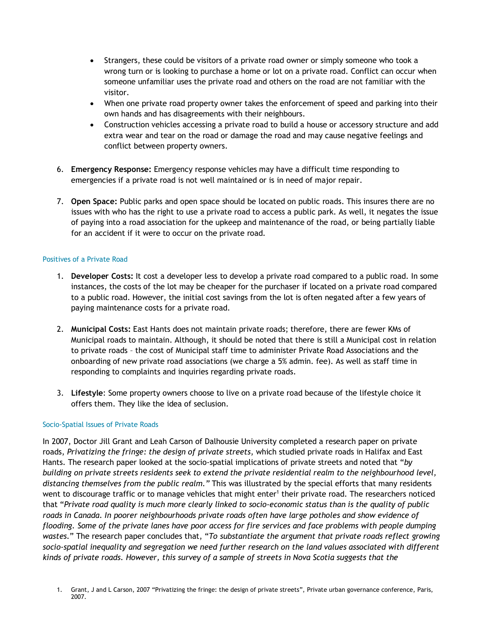- Strangers, these could be visitors of a private road owner or simply someone who took a wrong turn or is looking to purchase a home or lot on a private road. Conflict can occur when someone unfamiliar uses the private road and others on the road are not familiar with the visitor.
- When one private road property owner takes the enforcement of speed and parking into their own hands and has disagreements with their neighbours.
- Construction vehicles accessing a private road to build a house or accessory structure and add extra wear and tear on the road or damage the road and may cause negative feelings and conflict between property owners.
- 6. **Emergency Response:** Emergency response vehicles may have a difficult time responding to emergencies if a private road is not well maintained or is in need of major repair.
- 7. **Open Space:** Public parks and open space should be located on public roads. This insures there are no issues with who has the right to use a private road to access a public park. As well, it negates the issue of paying into a road association for the upkeep and maintenance of the road, or being partially liable for an accident if it were to occur on the private road.

#### Positives of a Private Road

- 1. **Developer Costs:** It cost a developer less to develop a private road compared to a public road. In some instances, the costs of the lot may be cheaper for the purchaser if located on a private road compared to a public road. However, the initial cost savings from the lot is often negated after a few years of paying maintenance costs for a private road.
- 2. **Municipal Costs:** East Hants does not maintain private roads; therefore, there are fewer KMs of Municipal roads to maintain. Although, it should be noted that there is still a Municipal cost in relation to private roads – the cost of Municipal staff time to administer Private Road Associations and the onboarding of new private road associations (we charge a 5% admin. fee). As well as staff time in responding to complaints and inquiries regarding private roads.
- 3. **Lifestyle**: Some property owners choose to live on a private road because of the lifestyle choice it offers them. They like the idea of seclusion.

#### Socio-Spatial Issues of Private Roads

In 2007, Doctor Jill Grant and Leah Carson of Dalhousie University completed a research paper on private roads, *Privatizing the fringe: the design of private streets*, which studied private roads in Halifax and East Hants. The research paper looked at the socio-spatial implications of private streets and noted that "*by building on private streets residents seek to extend the private residential realm to the neighbourhood level, distancing themselves from the public realm."* This was illustrated by the special efforts that many residents went to discourage traffic or to manage vehicles that might enter<sup>1</sup> their private road. The researchers noticed that "*Private road quality is much more clearly linked to socio-economic status than is the quality of public roads in Canada. In poorer neighbourhoods private roads often have large potholes and show evidence of flooding. Some of the private lanes have poor access for fire services and face problems with people dumping wastes.*" The research paper concludes that, "*To substantiate the argument that private roads reflect growing socio-spatial inequality and segregation we need further research on the land values associated with different kinds of private roads. However, this survey of a sample of streets in Nova Scotia suggests that the* 

<sup>1.</sup> Grant, J and L Carson, 2007 "Privatizing the fringe: the design of private streets", Private urban governance conference, Paris, 2007.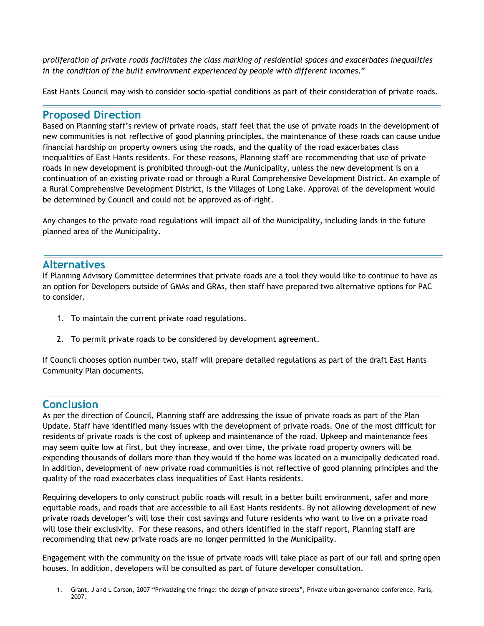*proliferation of private roads facilitates the class marking of residential spaces and exacerbates inequalities in the condition of the built environment experienced by people with different incomes*."

East Hants Council may wish to consider socio-spatial conditions as part of their consideration of private roads.

# **Proposed Direction**

Based on Planning staff's review of private roads, staff feel that the use of private roads in the development of new communities is not reflective of good planning principles, the maintenance of these roads can cause undue financial hardship on property owners using the roads, and the quality of the road exacerbates class inequalities of East Hants residents. For these reasons, Planning staff are recommending that use of private roads in new development is prohibited through-out the Municipality, unless the new development is on a continuation of an existing private road or through a Rural Comprehensive Development District. An example of a Rural Comprehensive Development District, is the Villages of Long Lake. Approval of the development would be determined by Council and could not be approved as-of-right.

Any changes to the private road regulations will impact all of the Municipality, including lands in the future planned area of the Municipality.

# **Alternatives**

If Planning Advisory Committee determines that private roads are a tool they would like to continue to have as an option for Developers outside of GMAs and GRAs, then staff have prepared two alternative options for PAC to consider.

- 1. To maintain the current private road regulations.
- 2. To permit private roads to be considered by development agreement.

If Council chooses option number two, staff will prepare detailed regulations as part of the draft East Hants Community Plan documents.

# **Conclusion**

As per the direction of Council, Planning staff are addressing the issue of private roads as part of the Plan Update. Staff have identified many issues with the development of private roads. One of the most difficult for residents of private roads is the cost of upkeep and maintenance of the road. Upkeep and maintenance fees may seem quite low at first, but they increase, and over time, the private road property owners will be expending thousands of dollars more than they would if the home was located on a municipally dedicated road. In addition, development of new private road communities is not reflective of good planning principles and the quality of the road exacerbates class inequalities of East Hants residents.

Requiring developers to only construct public roads will result in a better built environment, safer and more equitable roads, and roads that are accessible to all East Hants residents. By not allowing development of new private roads developer's will lose their cost savings and future residents who want to live on a private road will lose their exclusivity. For these reasons, and others identified in the staff report, Planning staff are recommending that new private roads are no longer permitted in the Municipality.

Engagement with the community on the issue of private roads will take place as part of our fall and spring open houses. In addition, developers will be consulted as part of future developer consultation.

<sup>1.</sup> Grant, J and L Carson, 2007 "Privatizing the fringe: the design of private streets", Private urban governance conference, Paris, 2007.